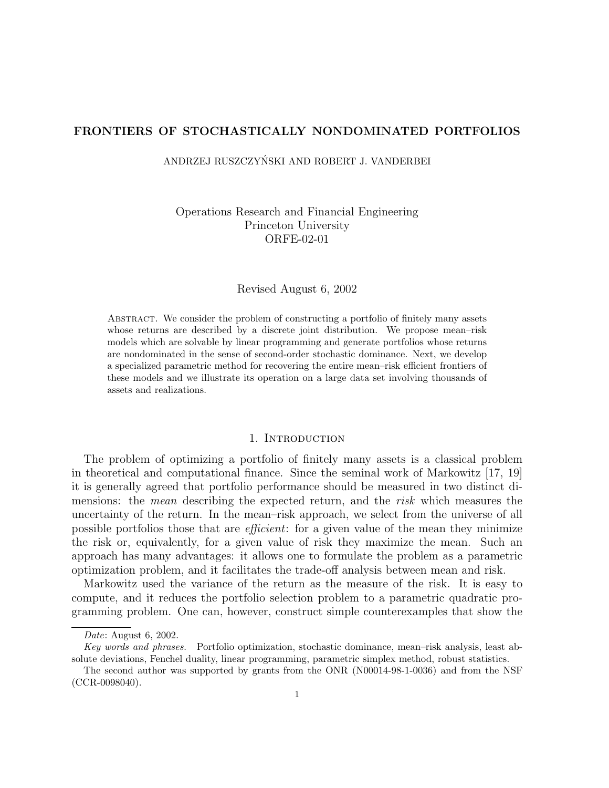# FRONTIERS OF STOCHASTICALLY NONDOMINATED PORTFOLIOS

ANDRZEJ RUSZCZYNSKI AND ROBERT J. VANDERBEI ´

Operations Research and Financial Engineering Princeton University ORFE-02-01

Revised August 6, 2002

Abstract. We consider the problem of constructing a portfolio of finitely many assets whose returns are described by a discrete joint distribution. We propose mean–risk models which are solvable by linear programming and generate portfolios whose returns are nondominated in the sense of second-order stochastic dominance. Next, we develop a specialized parametric method for recovering the entire mean–risk efficient frontiers of these models and we illustrate its operation on a large data set involving thousands of assets and realizations.

# 1. INTRODUCTION

The problem of optimizing a portfolio of finitely many assets is a classical problem in theoretical and computational finance. Since the seminal work of Markowitz [17, 19] it is generally agreed that portfolio performance should be measured in two distinct dimensions: the mean describing the expected return, and the risk which measures the uncertainty of the return. In the mean–risk approach, we select from the universe of all possible portfolios those that are efficient: for a given value of the mean they minimize the risk or, equivalently, for a given value of risk they maximize the mean. Such an approach has many advantages: it allows one to formulate the problem as a parametric optimization problem, and it facilitates the trade-off analysis between mean and risk.

Markowitz used the variance of the return as the measure of the risk. It is easy to compute, and it reduces the portfolio selection problem to a parametric quadratic programming problem. One can, however, construct simple counterexamples that show the

Date: August 6, 2002.

Key words and phrases. Portfolio optimization, stochastic dominance, mean–risk analysis, least absolute deviations, Fenchel duality, linear programming, parametric simplex method, robust statistics.

The second author was supported by grants from the ONR (N00014-98-1-0036) and from the NSF (CCR-0098040).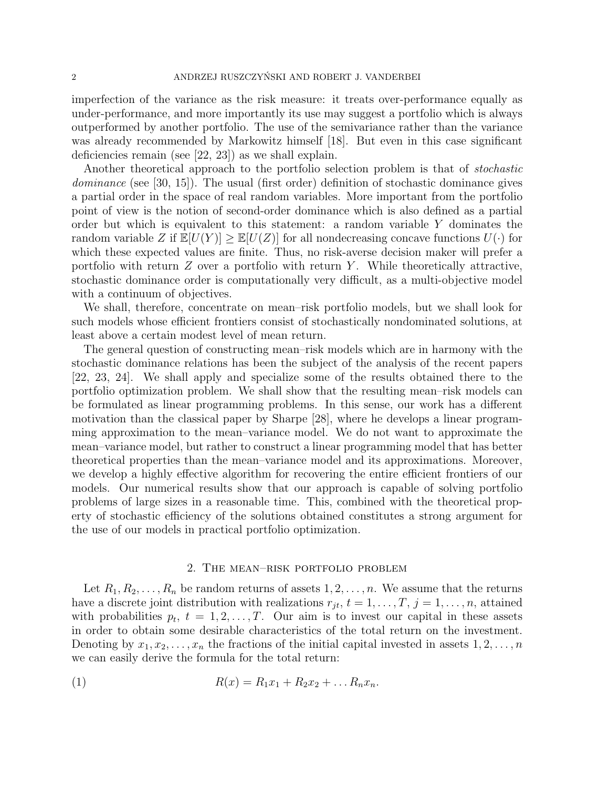imperfection of the variance as the risk measure: it treats over-performance equally as under-performance, and more importantly its use may suggest a portfolio which is always outperformed by another portfolio. The use of the semivariance rather than the variance was already recommended by Markowitz himself [18]. But even in this case significant deficiencies remain (see [22, 23]) as we shall explain.

Another theoretical approach to the portfolio selection problem is that of stochastic dominance (see [30, 15]). The usual (first order) definition of stochastic dominance gives a partial order in the space of real random variables. More important from the portfolio point of view is the notion of second-order dominance which is also defined as a partial order but which is equivalent to this statement: a random variable Y dominates the random variable Z if  $\mathbb{E}[U(Y)] \geq \mathbb{E}[U(Z)]$  for all nondecreasing concave functions  $U(\cdot)$  for which these expected values are finite. Thus, no risk-averse decision maker will prefer a portfolio with return  $Z$  over a portfolio with return  $Y$ . While theoretically attractive, stochastic dominance order is computationally very difficult, as a multi-objective model with a continuum of objectives.

We shall, therefore, concentrate on mean–risk portfolio models, but we shall look for such models whose efficient frontiers consist of stochastically nondominated solutions, at least above a certain modest level of mean return.

The general question of constructing mean–risk models which are in harmony with the stochastic dominance relations has been the subject of the analysis of the recent papers [22, 23, 24]. We shall apply and specialize some of the results obtained there to the portfolio optimization problem. We shall show that the resulting mean–risk models can be formulated as linear programming problems. In this sense, our work has a different motivation than the classical paper by Sharpe [28], where he develops a linear programming approximation to the mean–variance model. We do not want to approximate the mean–variance model, but rather to construct a linear programming model that has better theoretical properties than the mean–variance model and its approximations. Moreover, we develop a highly effective algorithm for recovering the entire efficient frontiers of our models. Our numerical results show that our approach is capable of solving portfolio problems of large sizes in a reasonable time. This, combined with the theoretical property of stochastic efficiency of the solutions obtained constitutes a strong argument for the use of our models in practical portfolio optimization.

### 2. The mean–risk portfolio problem

Let  $R_1, R_2, \ldots, R_n$  be random returns of assets  $1, 2, \ldots, n$ . We assume that the returns have a discrete joint distribution with realizations  $r_{jt}$ ,  $t = 1, \ldots, T$ ,  $j = 1, \ldots, n$ , attained with probabilities  $p_t$ ,  $t = 1, 2, ..., T$ . Our aim is to invest our capital in these assets in order to obtain some desirable characteristics of the total return on the investment. Denoting by  $x_1, x_2, \ldots, x_n$  the fractions of the initial capital invested in assets  $1, 2, \ldots, n$ we can easily derive the formula for the total return:

(1) 
$$
R(x) = R_1 x_1 + R_2 x_2 + \dots R_n x_n.
$$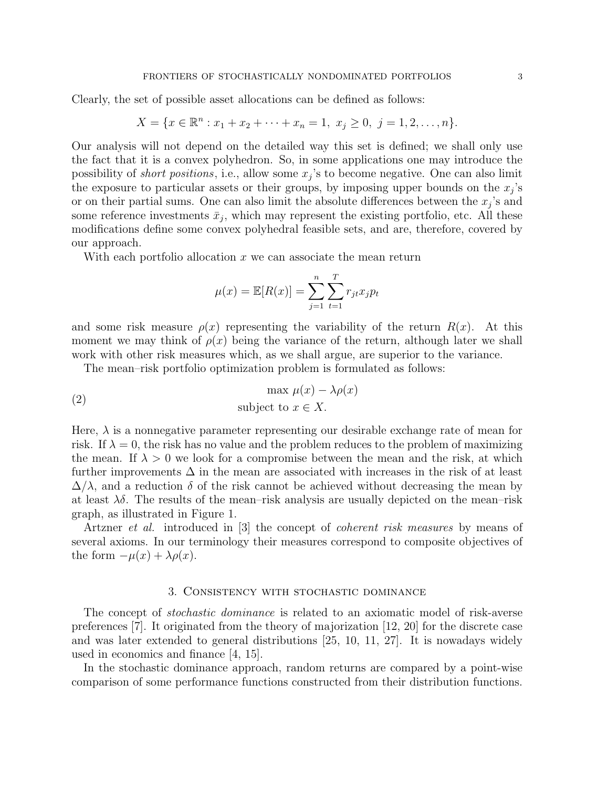Clearly, the set of possible asset allocations can be defined as follows:

$$
X = \{x \in \mathbb{R}^n : x_1 + x_2 + \dots + x_n = 1, \ x_j \ge 0, \ j = 1, 2, \dots, n\}.
$$

Our analysis will not depend on the detailed way this set is defined; we shall only use the fact that it is a convex polyhedron. So, in some applications one may introduce the possibility of *short positions*, i.e., allow some  $x_j$ 's to become negative. One can also limit the exposure to particular assets or their groups, by imposing upper bounds on the  $x_j$ 's or on their partial sums. One can also limit the absolute differences between the  $x_j$ 's and some reference investments  $\bar{x}_j$ , which may represent the existing portfolio, etc. All these modifications define some convex polyhedral feasible sets, and are, therefore, covered by our approach.

With each portfolio allocation  $x$  we can associate the mean return

$$
\mu(x) = \mathbb{E}[R(x)] = \sum_{j=1}^{n} \sum_{t=1}^{T} r_{jt} x_j p_t
$$

and some risk measure  $\rho(x)$  representing the variability of the return  $R(x)$ . At this moment we may think of  $\rho(x)$  being the variance of the return, although later we shall work with other risk measures which, as we shall argue, are superior to the variance.

The mean–risk portfolio optimization problem is formulated as follows:

(2) 
$$
\max \mu(x) - \lambda \rho(x)
$$
subject to  $x \in X$ .

Here,  $\lambda$  is a nonnegative parameter representing our desirable exchange rate of mean for risk. If  $\lambda = 0$ , the risk has no value and the problem reduces to the problem of maximizing the mean. If  $\lambda > 0$  we look for a compromise between the mean and the risk, at which further improvements  $\Delta$  in the mean are associated with increases in the risk of at least  $\Delta/\lambda$ , and a reduction  $\delta$  of the risk cannot be achieved without decreasing the mean by at least  $\lambda \delta$ . The results of the mean–risk analysis are usually depicted on the mean–risk graph, as illustrated in Figure 1.

Artzner et al. introduced in [3] the concept of coherent risk measures by means of several axioms. In our terminology their measures correspond to composite objectives of the form  $-\mu(x) + \lambda \rho(x)$ .

## 3. Consistency with stochastic dominance

The concept of *stochastic dominance* is related to an axiomatic model of risk-averse preferences [7]. It originated from the theory of majorization [12, 20] for the discrete case and was later extended to general distributions [25, 10, 11, 27]. It is nowadays widely used in economics and finance [4, 15].

In the stochastic dominance approach, random returns are compared by a point-wise comparison of some performance functions constructed from their distribution functions.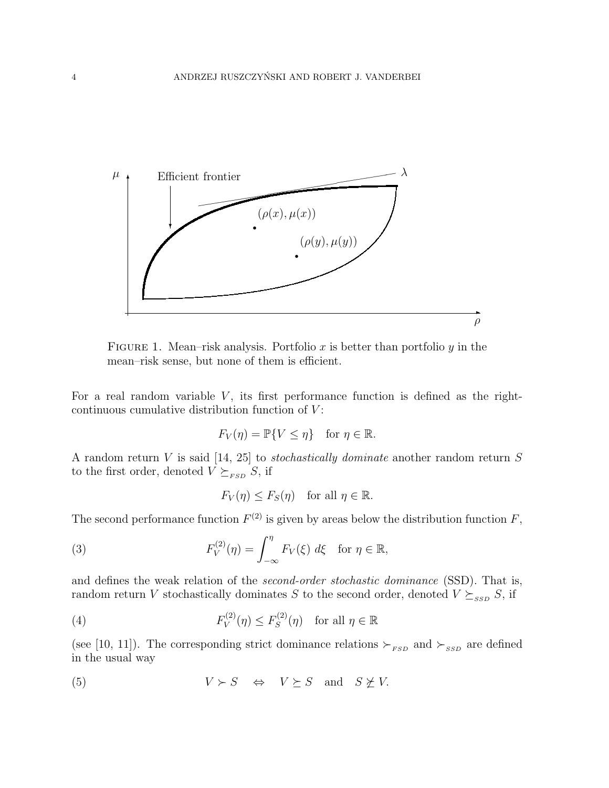

FIGURE 1. Mean–risk analysis. Portfolio x is better than portfolio y in the mean–risk sense, but none of them is efficient.

For a real random variable  $V$ , its first performance function is defined as the rightcontinuous cumulative distribution function of  $V$ :

$$
F_V(\eta) = \mathbb{P}\{V \le \eta\} \quad \text{for } \eta \in \mathbb{R}.
$$

A random return V is said [14, 25] to *stochastically dominate* another random return  $S$ to the first order, denoted  $V \succeq_{\scriptscriptstyle FSD} S$ , if

$$
F_V(\eta) \le F_S(\eta) \quad \text{for all } \eta \in \mathbb{R}.
$$

The second performance function  $F^{(2)}$  is given by areas below the distribution function  $F$ ,

(3) 
$$
F_V^{(2)}(\eta) = \int_{-\infty}^{\eta} F_V(\xi) d\xi \quad \text{for } \eta \in \mathbb{R},
$$

and defines the weak relation of the second-order stochastic dominance (SSD). That is, random return V stochastically dominates S to the second order, denoted  $V \succeq_{SSD} S$ , if

(4) 
$$
F_V^{(2)}(\eta) \le F_S^{(2)}(\eta) \quad \text{for all } \eta \in \mathbb{R}
$$

(see [10, 11]). The corresponding strict dominance relations  $\succ_{\scriptscriptstyle FSD}$  and  $\succ_{\scriptscriptstyle SSD}$  are defined in the usual way

(5) 
$$
V \succ S \Leftrightarrow V \succeq S \text{ and } S \not\succeq V.
$$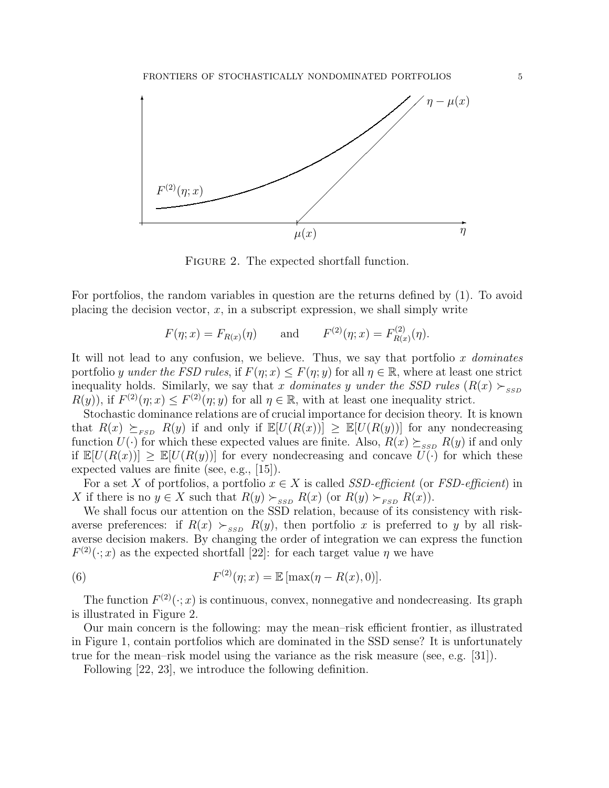

FIGURE 2. The expected shortfall function.

For portfolios, the random variables in question are the returns defined by (1). To avoid placing the decision vector,  $x$ , in a subscript expression, we shall simply write

$$
F(\eta; x) = F_{R(x)}(\eta)
$$
 and  $F^{(2)}(\eta; x) = F_{R(x)}^{(2)}(\eta)$ .

It will not lead to any confusion, we believe. Thus, we say that portfolio x dominates portfolio y under the FSD rules, if  $F(\eta; x) \leq F(\eta; y)$  for all  $\eta \in \mathbb{R}$ , where at least one strict inequality holds. Similarly, we say that x dominates y under the SSD rules  $(R(x) \succ_{SSD}$  $R(y)$ , if  $F^{(2)}(\eta; x) \leq F^{(2)}(\eta; y)$  for all  $\eta \in \mathbb{R}$ , with at least one inequality strict.

Stochastic dominance relations are of crucial importance for decision theory. It is known that  $R(x) \succeq_{FSD} R(y)$  if and only if  $\mathbb{E}[U(R(x))] \geq \mathbb{E}[U(R(y))]$  for any nondecreasing function  $U(\cdot)$  for which these expected values are finite. Also,  $R(x) \succeq_{SSD} R(y)$  if and only if  $\mathbb{E}[U(R(x))] \geq \mathbb{E}[U(R(y))]$  for every nondecreasing and concave  $U(\cdot)$  for which these expected values are finite (see, e.g., [15]).

For a set X of portfolios, a portfolio  $x \in X$  is called SSD-efficient (or FSD-efficient) in X if there is no  $y \in X$  such that  $R(y) \succ_{\text{SSD}} R(x)$  (or  $R(y) \succ_{\text{FSD}} R(x)$ ).

We shall focus our attention on the SSD relation, because of its consistency with riskaverse preferences: if  $R(x) \succ_{ssp} R(y)$ , then portfolio x is preferred to y by all riskaverse decision makers. By changing the order of integration we can express the function  $F^{(2)}(\cdot;x)$  as the expected shortfall [22]: for each target value  $\eta$  we have

(6) 
$$
F^{(2)}(\eta; x) = \mathbb{E} [\max(\eta - R(x), 0)].
$$

The function  $F^{(2)}(\cdot;x)$  is continuous, convex, nonnegative and nondecreasing. Its graph is illustrated in Figure 2.

Our main concern is the following: may the mean–risk efficient frontier, as illustrated in Figure 1, contain portfolios which are dominated in the SSD sense? It is unfortunately true for the mean–risk model using the variance as the risk measure (see, e.g. [31]).

Following [22, 23], we introduce the following definition.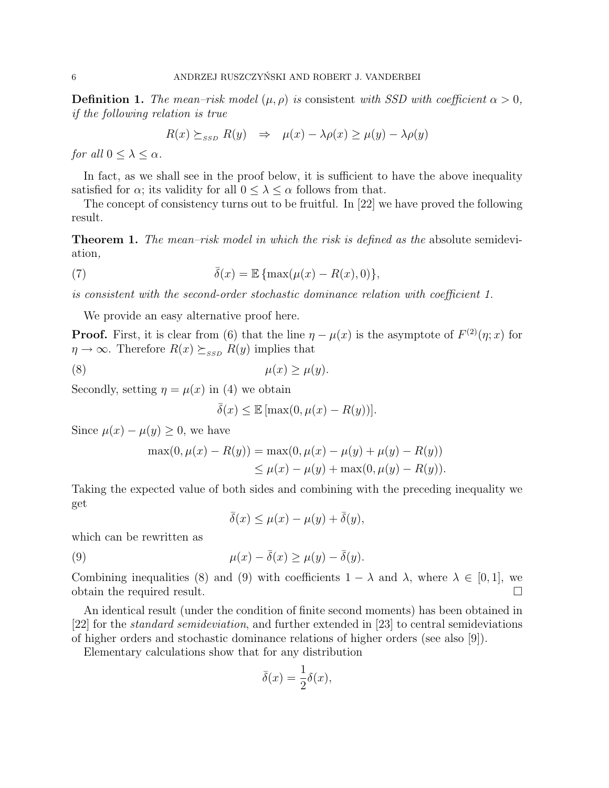**Definition 1.** The mean–risk model  $(\mu, \rho)$  is consistent with SSD with coefficient  $\alpha > 0$ , if the following relation is true

$$
R(x) \succeq_{SSD} R(y) \Rightarrow \mu(x) - \lambda \rho(x) \ge \mu(y) - \lambda \rho(y)
$$

for all  $0 \leq \lambda \leq \alpha$ .

In fact, as we shall see in the proof below, it is sufficient to have the above inequality satisfied for  $\alpha$ ; its validity for all  $0 \leq \lambda \leq \alpha$  follows from that.

The concept of consistency turns out to be fruitful. In [22] we have proved the following result.

**Theorem 1.** The mean-risk model in which the risk is defined as the absolute semideviation,

(7) 
$$
\bar{\delta}(x) = \mathbb{E} \left\{ \max(\mu(x) - R(x), 0) \right\},\
$$

is consistent with the second-order stochastic dominance relation with coefficient 1.

We provide an easy alternative proof here.

**Proof.** First, it is clear from (6) that the line  $\eta - \mu(x)$  is the asymptote of  $F^{(2)}(\eta; x)$  for  $\eta \to \infty$ . Therefore  $R(x) \succeq_{SSD} R(y)$  implies that

$$
\mu(x) \ge \mu(y).
$$

Secondly, setting  $\eta = \mu(x)$  in (4) we obtain

$$
\bar{\delta}(x) \le \mathbb{E} \left[ \max(0, \mu(x) - R(y)) \right].
$$

Since  $\mu(x) - \mu(y) \geq 0$ , we have

$$
\max(0, \mu(x) - R(y)) = \max(0, \mu(x) - \mu(y) + \mu(y) - R(y))
$$
  
 
$$
\leq \mu(x) - \mu(y) + \max(0, \mu(y) - R(y)).
$$

Taking the expected value of both sides and combining with the preceding inequality we get

$$
\bar{\delta}(x) \le \mu(x) - \mu(y) + \bar{\delta}(y),
$$

which can be rewritten as

(9) 
$$
\mu(x) - \overline{\delta}(x) \ge \mu(y) - \overline{\delta}(y).
$$

Combining inequalities (8) and (9) with coefficients  $1 - \lambda$  and  $\lambda$ , where  $\lambda \in [0, 1]$ , we obtain the required result.

An identical result (under the condition of finite second moments) has been obtained in [22] for the standard semideviation, and further extended in [23] to central semideviations of higher orders and stochastic dominance relations of higher orders (see also [9]).

Elementary calculations show that for any distribution

$$
\bar{\delta}(x) = \frac{1}{2}\delta(x),
$$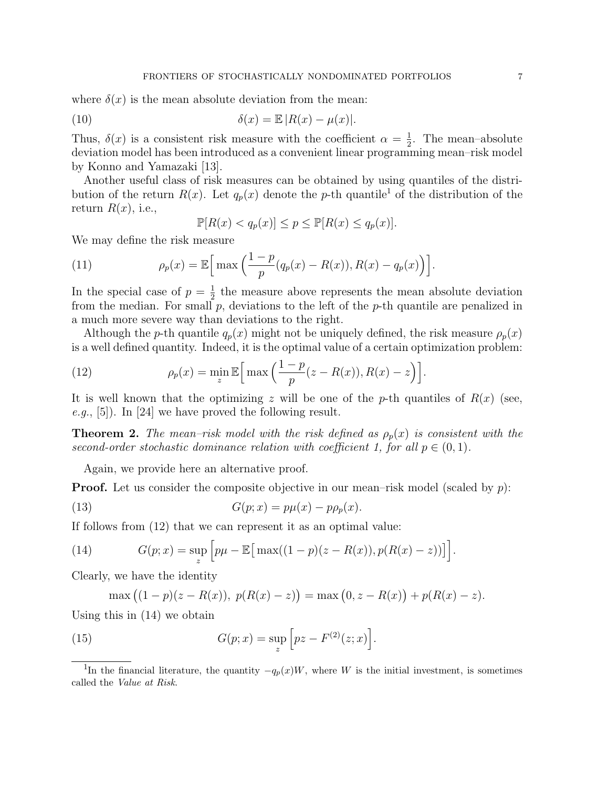where  $\delta(x)$  is the mean absolute deviation from the mean:

(10) 
$$
\delta(x) = \mathbb{E} |R(x) - \mu(x)|.
$$

Thus,  $\delta(x)$  is a consistent risk measure with the coefficient  $\alpha = \frac{1}{2}$  $\frac{1}{2}$ . The mean-absolute deviation model has been introduced as a convenient linear programming mean–risk model by Konno and Yamazaki [13].

Another useful class of risk measures can be obtained by using quantiles of the distribution of the return  $R(x)$ . Let  $q_p(x)$  denote the p-th quantile<sup>1</sup> of the distribution of the return  $R(x)$ , i.e.,

$$
\mathbb{P}[R(x) < q_p(x)] \le p \le \mathbb{P}[R(x) \le q_p(x)].
$$

We may define the risk measure

(11) 
$$
\rho_p(x) = \mathbb{E}\Big[\max\Big(\frac{1-p}{p}(q_p(x)-R(x)),R(x)-q_p(x)\Big)\Big].
$$

In the special case of  $p=\frac{1}{2}$  $\frac{1}{2}$  the measure above represents the mean absolute deviation from the median. For small  $p$ , deviations to the left of the  $p$ -th quantile are penalized in a much more severe way than deviations to the right.

Although the p-th quantile  $q_p(x)$  might not be uniquely defined, the risk measure  $\rho_p(x)$ is a well defined quantity. Indeed, it is the optimal value of a certain optimization problem:

(12) 
$$
\rho_p(x) = \min_z \mathbb{E}\Big[\max\Big(\frac{1-p}{p}(z - R(x)), R(x) - z\Big)\Big].
$$

It is well known that the optimizing z will be one of the p-th quantiles of  $R(x)$  (see, e.g., [5]). In [24] we have proved the following result.

**Theorem 2.** The mean-risk model with the risk defined as  $\rho_p(x)$  is consistent with the second-order stochastic dominance relation with coefficient 1, for all  $p \in (0,1)$ .

Again, we provide here an alternative proof.

**Proof.** Let us consider the composite objective in our mean–risk model (scaled by  $p$ ):

(13) 
$$
G(p; x) = p\mu(x) - p\rho_p(x).
$$

If follows from (12) that we can represent it as an optimal value:

(14) 
$$
G(p; x) = \sup_{z} \left[ p\mu - \mathbb{E} \left[ \max((1-p)(z - R(x)), p(R(x) - z)) \right] \right].
$$

Clearly, we have the identity

$$
\max ((1-p)(z - R(x)), p(R(x) - z)) = \max (0, z - R(x)) + p(R(x) - z).
$$

Using this in (14) we obtain

(15) 
$$
G(p; x) = \sup_{z} \left[ pz - F^{(2)}(z; x) \right].
$$

<sup>&</sup>lt;sup>1</sup>In the financial literature, the quantity  $-q_p(x)W$ , where W is the initial investment, is sometimes called the Value at Risk.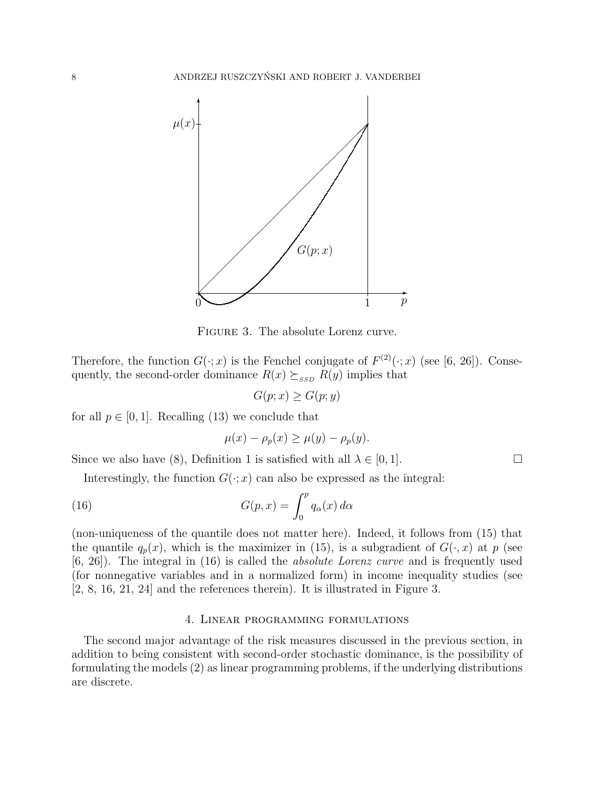

Figure 3. The absolute Lorenz curve.

Therefore, the function  $G(\cdot; x)$  is the Fenchel conjugate of  $F^{(2)}(\cdot; x)$  (see [6, 26]). Consequently, the second-order dominance  $R(x) \succeq_{SSD} R(y)$  implies that

$$
G(p; x) \ge G(p; y)
$$

for all  $p \in [0, 1]$ . Recalling (13) we conclude that

$$
\mu(x) - \rho_p(x) \ge \mu(y) - \rho_p(y).
$$

Since we also have (8), Definition 1 is satisfied with all  $\lambda \in [0, 1]$ .

Interestingly, the function  $G(\cdot; x)$  can also be expressed as the integral:

(16) 
$$
G(p,x) = \int_0^p q_\alpha(x) d\alpha
$$

(non-uniqueness of the quantile does not matter here). Indeed, it follows from (15) that the quantile  $q_p(x)$ , which is the maximizer in (15), is a subgradient of  $G(\cdot, x)$  at p (see [6, 26]). The integral in (16) is called the absolute Lorenz curve and is frequently used (for nonnegative variables and in a normalized form) in income inequality studies (see [2, 8, 16, 21, 24] and the references therein). It is illustrated in Figure 3.

## 4. Linear programming formulations

The second major advantage of the risk measures discussed in the previous section, in addition to being consistent with second-order stochastic dominance, is the possibility of formulating the models (2) as linear programming problems, if the underlying distributions are discrete.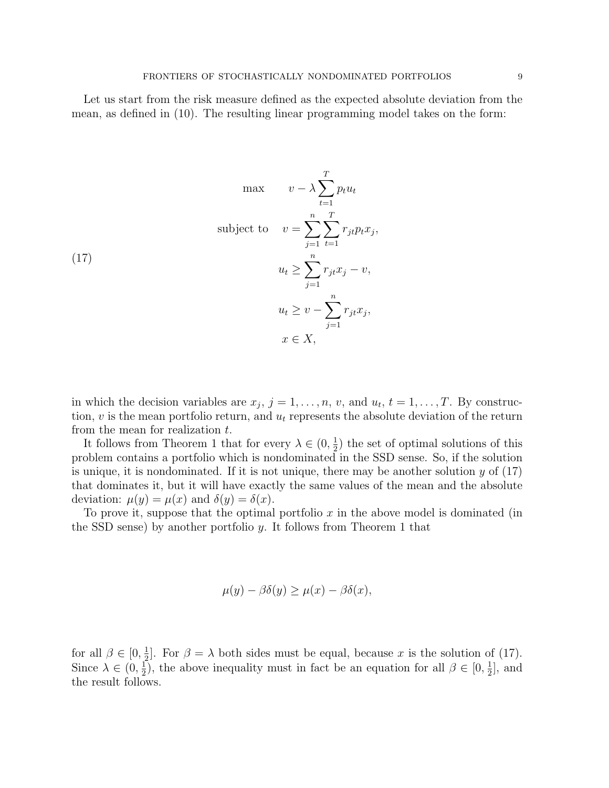Let us start from the risk measure defined as the expected absolute deviation from the mean, as defined in (10). The resulting linear programming model takes on the form:

$$
\max \qquad v - \lambda \sum_{t=1}^{T} p_t u_t
$$
\n
$$
\text{subject to} \qquad v = \sum_{j=1}^{n} \sum_{t=1}^{T} r_{jt} p_t x_j,
$$
\n
$$
u_t \ge \sum_{j=1}^{n} r_{jt} x_j - v,
$$
\n
$$
u_t \ge v - \sum_{j=1}^{n} r_{jt} x_j,
$$
\n
$$
x \in X,
$$

in which the decision variables are  $x_j$ ,  $j = 1, \ldots, n$ , v, and  $u_t$ ,  $t = 1, \ldots, T$ . By construction,  $v$  is the mean portfolio return, and  $u_t$  represents the absolute deviation of the return from the mean for realization t.

It follows from Theorem 1 that for every  $\lambda \in (0, \frac{1}{2})$  $(\frac{1}{2})$  the set of optimal solutions of this problem contains a portfolio which is nondominated in the SSD sense. So, if the solution is unique, it is nondominated. If it is not unique, there may be another solution  $y$  of (17) that dominates it, but it will have exactly the same values of the mean and the absolute deviation:  $\mu(y) = \mu(x)$  and  $\delta(y) = \delta(x)$ .

To prove it, suppose that the optimal portfolio  $x$  in the above model is dominated (in the SSD sense) by another portfolio  $y$ . It follows from Theorem 1 that

$$
\mu(y) - \beta \delta(y) \ge \mu(x) - \beta \delta(x),
$$

for all  $\beta \in [0, \frac{1}{2}]$  $\frac{1}{2}$ . For  $\beta = \lambda$  both sides must be equal, because x is the solution of (17). Since  $\lambda \in (0, \frac{1}{2})$  $\frac{1}{2}$ , the above inequality must in fact be an equation for all  $\beta \in [0, \frac{1}{2}]$  $\frac{1}{2}$ , and the result follows.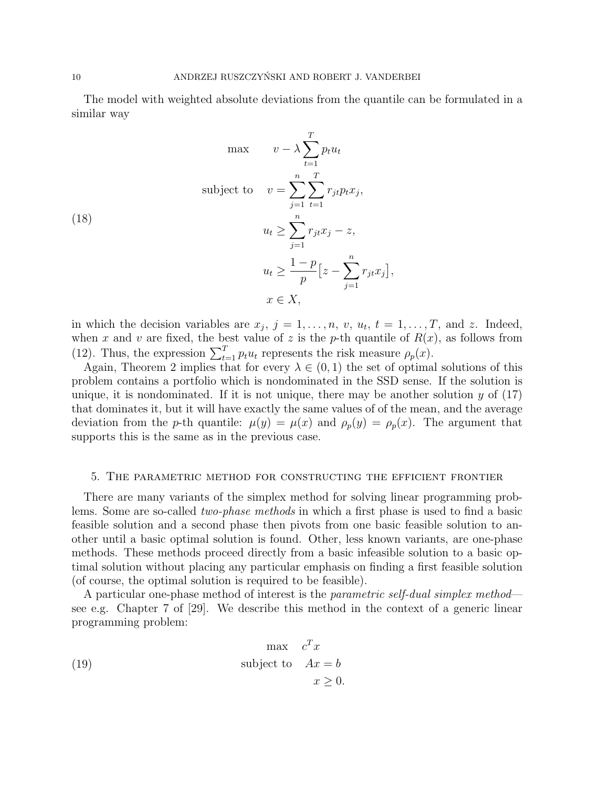The model with weighted absolute deviations from the quantile can be formulated in a similar way

$$
\max \qquad v - \lambda \sum_{t=1}^{T} p_t u_t
$$
\n
$$
\text{subject to} \qquad v = \sum_{j=1}^{n} \sum_{t=1}^{T} r_{jt} p_t x_j,
$$
\n
$$
u_t \ge \sum_{j=1}^{n} r_{jt} x_j - z,
$$
\n
$$
u_t \ge \frac{1-p}{p} \Big[ z - \sum_{j=1}^{n} r_{jt} x_j \Big],
$$
\n
$$
x \in X,
$$

in which the decision variables are  $x_j$ ,  $j = 1, \ldots, n$ ,  $v$ ,  $u_t$ ,  $t = 1, \ldots, T$ , and z. Indeed, when x and v are fixed, the best value of z is the p-th quantile of  $R(x)$ , as follows from (12). Thus, the expression  $\sum_{t=1}^{T} p_t u_t$  represents the risk measure  $\rho_p(x)$ .

Again, Theorem 2 implies that for every  $\lambda \in (0,1)$  the set of optimal solutions of this problem contains a portfolio which is nondominated in the SSD sense. If the solution is unique, it is nondominated. If it is not unique, there may be another solution  $y$  of  $(17)$ that dominates it, but it will have exactly the same values of of the mean, and the average deviation from the p-th quantile:  $\mu(y) = \mu(x)$  and  $\rho_p(y) = \rho_p(x)$ . The argument that supports this is the same as in the previous case.

#### 5. The parametric method for constructing the efficient frontier

There are many variants of the simplex method for solving linear programming problems. Some are so-called two-phase methods in which a first phase is used to find a basic feasible solution and a second phase then pivots from one basic feasible solution to another until a basic optimal solution is found. Other, less known variants, are one-phase methods. These methods proceed directly from a basic infeasible solution to a basic optimal solution without placing any particular emphasis on finding a first feasible solution (of course, the optimal solution is required to be feasible).

A particular one-phase method of interest is the parametric self-dual simplex method see e.g. Chapter 7 of [29]. We describe this method in the context of a generic linear programming problem:

(19) 
$$
\begin{aligned}\n\max \quad & c^T x \\
\text{subject to} \quad & Ax = b \\
& x \geq 0.\n\end{aligned}
$$

(18)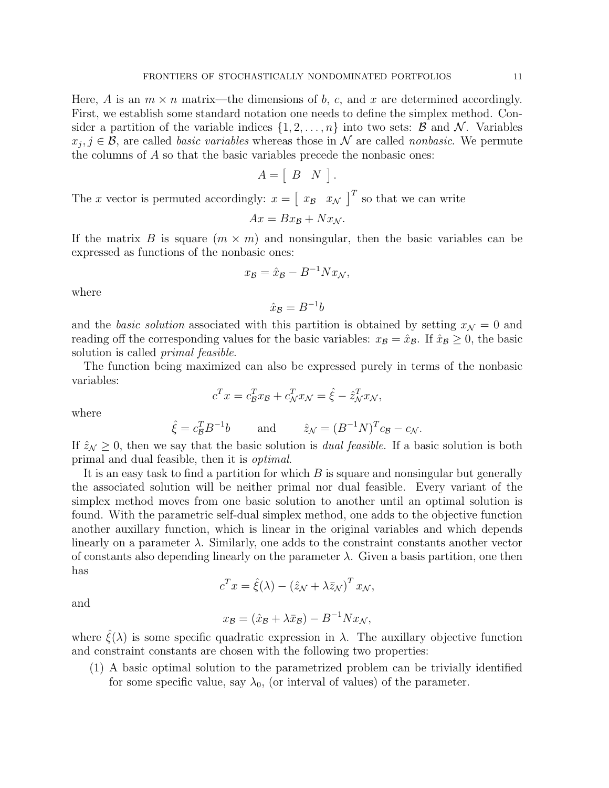Here, A is an  $m \times n$  matrix—the dimensions of b, c, and x are determined accordingly. First, we establish some standard notation one needs to define the simplex method. Consider a partition of the variable indices  $\{1, 2, \ldots, n\}$  into two sets:  $\beta$  and  $\mathcal{N}$ . Variables  $x_j, j \in \mathcal{B}$ , are called *basic variables* whereas those in N are called *nonbasic*. We permute the columns of  $A$  so that the basic variables precede the nonbasic ones:

$$
A = [B \quad N].
$$

The x vector is permuted accordingly:  $x = \begin{bmatrix} x_B & x_N \end{bmatrix}^T$  so that we can write

$$
Ax = Bx_{\mathcal{B}} + Nx_{\mathcal{N}}.
$$

If the matrix B is square  $(m \times m)$  and nonsingular, then the basic variables can be expressed as functions of the nonbasic ones:

$$
x_{\mathcal{B}} = \hat{x}_{\mathcal{B}} - B^{-1} N x_{\mathcal{N}},
$$

where

$$
\hat{x}_{\mathcal{B}} = B^{-1}b
$$

and the basic solution associated with this partition is obtained by setting  $x_N = 0$  and reading off the corresponding values for the basic variables:  $x_{\mathcal{B}} = \hat{x}_{\mathcal{B}}$ . If  $\hat{x}_{\mathcal{B}} \geq 0$ , the basic solution is called primal feasible.

The function being maximized can also be expressed purely in terms of the nonbasic variables:

$$
c^T x = c^T_{\mathcal{B}} x_{\mathcal{B}} + c^T_{\mathcal{N}} x_{\mathcal{N}} = \hat{\xi} - \hat{z}^T_{\mathcal{N}} x_{\mathcal{N}},
$$

where

$$
\hat{\xi} = c_B^T B^{-1} b
$$
 and  $\hat{z}_N = (B^{-1} N)^T c_B - c_N$ .

If  $\hat{z}_\mathcal{N} \geq 0$ , then we say that the basic solution is *dual feasible*. If a basic solution is both primal and dual feasible, then it is optimal.

It is an easy task to find a partition for which  $B$  is square and nonsingular but generally the associated solution will be neither primal nor dual feasible. Every variant of the simplex method moves from one basic solution to another until an optimal solution is found. With the parametric self-dual simplex method, one adds to the objective function another auxillary function, which is linear in the original variables and which depends linearly on a parameter  $\lambda$ . Similarly, one adds to the constraint constants another vector of constants also depending linearly on the parameter  $\lambda$ . Given a basis partition, one then has

$$
c^T x = \hat{\xi}(\lambda) - (\hat{z}_{\mathcal{N}} + \lambda \bar{z}_{\mathcal{N}})^T x_{\mathcal{N}},
$$

and

$$
x_{\mathcal{B}} = (\hat{x}_{\mathcal{B}} + \lambda \bar{x}_{\mathcal{B}}) - B^{-1} N x_{\mathcal{N}},
$$

where  $\hat{\xi}(\lambda)$  is some specific quadratic expression in  $\lambda$ . The auxillary objective function and constraint constants are chosen with the following two properties:

(1) A basic optimal solution to the parametrized problem can be trivially identified for some specific value, say  $\lambda_0$ , (or interval of values) of the parameter.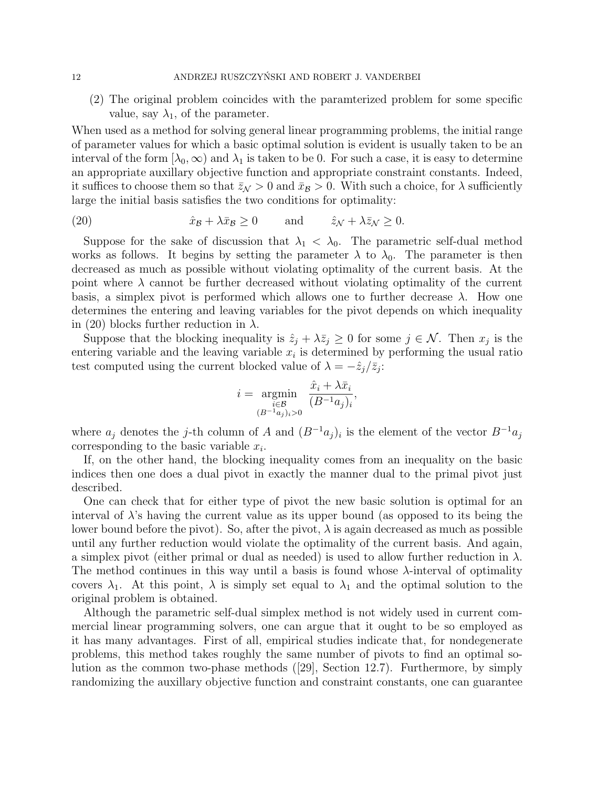(2) The original problem coincides with the paramterized problem for some specific value, say  $\lambda_1$ , of the parameter.

When used as a method for solving general linear programming problems, the initial range of parameter values for which a basic optimal solution is evident is usually taken to be an interval of the form  $[\lambda_0, \infty)$  and  $\lambda_1$  is taken to be 0. For such a case, it is easy to determine an appropriate auxillary objective function and appropriate constraint constants. Indeed, it suffices to choose them so that  $\bar{z}_N > 0$  and  $\bar{x}_B > 0$ . With such a choice, for  $\lambda$  sufficiently large the initial basis satisfies the two conditions for optimality:

(20) 
$$
\hat{x}_{\mathcal{B}} + \lambda \bar{x}_{\mathcal{B}} \ge 0
$$
 and  $\hat{z}_{\mathcal{N}} + \lambda \bar{z}_{\mathcal{N}} \ge 0$ .

Suppose for the sake of discussion that  $\lambda_1 < \lambda_0$ . The parametric self-dual method works as follows. It begins by setting the parameter  $\lambda$  to  $\lambda_0$ . The parameter is then decreased as much as possible without violating optimality of the current basis. At the point where  $\lambda$  cannot be further decreased without violating optimality of the current basis, a simplex pivot is performed which allows one to further decrease  $\lambda$ . How one determines the entering and leaving variables for the pivot depends on which inequality in (20) blocks further reduction in  $\lambda$ .

Suppose that the blocking inequality is  $\hat{z}_j + \lambda \bar{z}_j \geq 0$  for some  $j \in \mathcal{N}$ . Then  $x_j$  is the entering variable and the leaving variable  $x_i$  is determined by performing the usual ratio test computed using the current blocked value of  $\lambda = -\hat{z}_j/\bar{z}_j$ :

$$
i = \underset{\substack{i \in \mathcal{B} \\ (B^{-1}a_j)_i > 0}}{\operatorname{argmin}} \frac{\hat{x}_i + \lambda \bar{x}_i}{(B^{-1}a_j)_i},
$$

where  $a_j$  denotes the j-th column of A and  $(B^{-1}a_j)_i$  is the element of the vector  $B^{-1}a_j$ corresponding to the basic variable  $x_i$ .

If, on the other hand, the blocking inequality comes from an inequality on the basic indices then one does a dual pivot in exactly the manner dual to the primal pivot just described.

One can check that for either type of pivot the new basic solution is optimal for an interval of  $\lambda$ 's having the current value as its upper bound (as opposed to its being the lower bound before the pivot). So, after the pivot,  $\lambda$  is again decreased as much as possible until any further reduction would violate the optimality of the current basis. And again, a simplex pivot (either primal or dual as needed) is used to allow further reduction in  $\lambda$ . The method continues in this way until a basis is found whose  $\lambda$ -interval of optimality covers  $\lambda_1$ . At this point,  $\lambda$  is simply set equal to  $\lambda_1$  and the optimal solution to the original problem is obtained.

Although the parametric self-dual simplex method is not widely used in current commercial linear programming solvers, one can argue that it ought to be so employed as it has many advantages. First of all, empirical studies indicate that, for nondegenerate problems, this method takes roughly the same number of pivots to find an optimal solution as the common two-phase methods ([29], Section 12.7). Furthermore, by simply randomizing the auxillary objective function and constraint constants, one can guarantee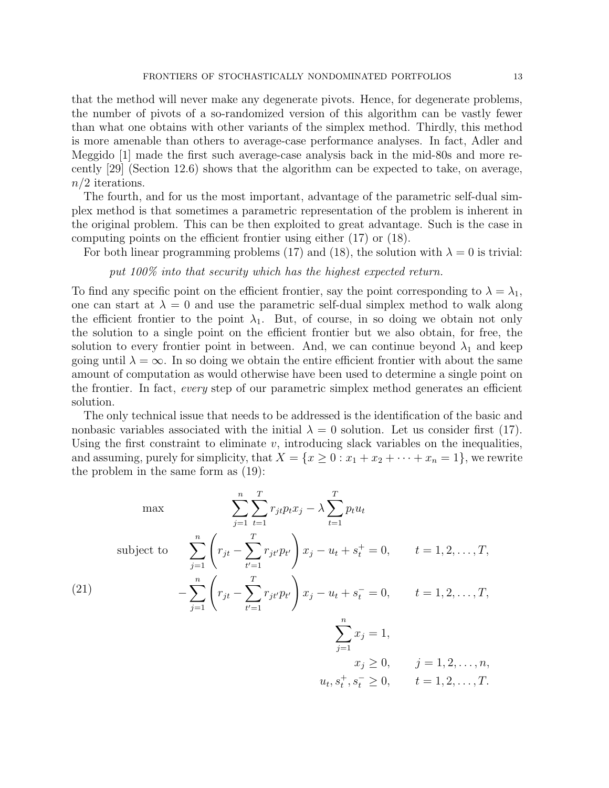that the method will never make any degenerate pivots. Hence, for degenerate problems, the number of pivots of a so-randomized version of this algorithm can be vastly fewer than what one obtains with other variants of the simplex method. Thirdly, this method is more amenable than others to average-case performance analyses. In fact, Adler and Meggido [1] made the first such average-case analysis back in the mid-80s and more recently [29] (Section 12.6) shows that the algorithm can be expected to take, on average,  $n/2$  iterations.

The fourth, and for us the most important, advantage of the parametric self-dual simplex method is that sometimes a parametric representation of the problem is inherent in the original problem. This can be then exploited to great advantage. Such is the case in computing points on the efficient frontier using either (17) or (18).

For both linear programming problems (17) and (18), the solution with  $\lambda = 0$  is trivial:

put 100% into that security which has the highest expected return.

To find any specific point on the efficient frontier, say the point corresponding to  $\lambda = \lambda_1$ , one can start at  $\lambda = 0$  and use the parametric self-dual simplex method to walk along the efficient frontier to the point  $\lambda_1$ . But, of course, in so doing we obtain not only the solution to a single point on the efficient frontier but we also obtain, for free, the solution to every frontier point in between. And, we can continue beyond  $\lambda_1$  and keep going until  $\lambda = \infty$ . In so doing we obtain the entire efficient frontier with about the same amount of computation as would otherwise have been used to determine a single point on the frontier. In fact, every step of our parametric simplex method generates an efficient solution.

The only technical issue that needs to be addressed is the identification of the basic and nonbasic variables associated with the initial  $\lambda = 0$  solution. Let us consider first (17). Using the first constraint to eliminate  $v$ , introducing slack variables on the inequalities, and assuming, purely for simplicity, that  $X = \{x \geq 0 : x_1 + x_2 + \cdots + x_n = 1\}$ , we rewrite the problem in the same form as (19):

$$
\max \qquad \sum_{j=1}^{n} \sum_{t=1}^{T} r_{jt} p_t x_j - \lambda \sum_{t=1}^{T} p_t u_t
$$
\nsubject to\n
$$
\sum_{j=1}^{n} \left( r_{jt} - \sum_{t'=1}^{T} r_{jt'} p_{t'} \right) x_j - u_t + s_t^+ = 0, \qquad t = 1, 2, \dots, T,
$$
\n
$$
- \sum_{j=1}^{n} \left( r_{jt} - \sum_{t'=1}^{T} r_{jt'} p_{t'} \right) x_j - u_t + s_t^- = 0, \qquad t = 1, 2, \dots, T,
$$
\n
$$
\sum_{j=1}^{n} x_j = 1,
$$
\n
$$
x_j \ge 0, \qquad j = 1, 2, \dots, n,
$$
\n
$$
u_t, s_t^+, s_t^- \ge 0, \qquad t = 1, 2, \dots, T.
$$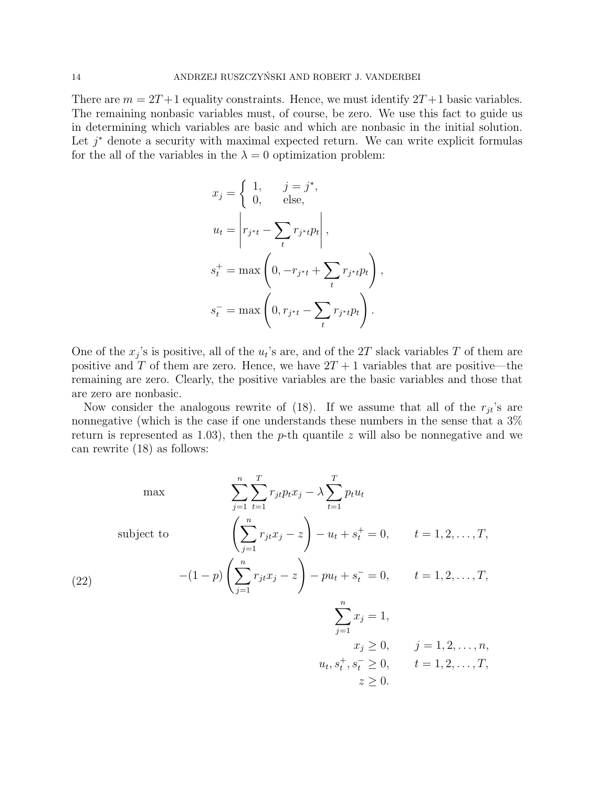There are  $m = 2T + 1$  equality constraints. Hence, we must identify  $2T + 1$  basic variables. The remaining nonbasic variables must, of course, be zero. We use this fact to guide us in determining which variables are basic and which are nonbasic in the initial solution. Let  $j^*$  denote a security with maximal expected return. We can write explicit formulas for the all of the variables in the  $\lambda = 0$  optimization problem:

$$
x_j = \begin{cases} 1, & j = j^*, \\ 0, & \text{else,} \end{cases}
$$
  
\n
$$
u_t = \left| r_{j^*t} - \sum_t r_{j^*t} p_t \right|,
$$
  
\n
$$
s_t^+ = \max\left(0, -r_{j^*t} + \sum_t r_{j^*t} p_t\right),
$$
  
\n
$$
s_t^- = \max\left(0, r_{j^*t} - \sum_t r_{j^*t} p_t\right).
$$

One of the  $x_j$ 's is positive, all of the  $u_t$ 's are, and of the 2T slack variables T of them are positive and T of them are zero. Hence, we have  $2T + 1$  variables that are positive—the remaining are zero. Clearly, the positive variables are the basic variables and those that are zero are nonbasic.

Now consider the analogous rewrite of (18). If we assume that all of the  $r_{it}$ 's are nonnegative (which is the case if one understands these numbers in the sense that a  $3\%$ return is represented as 1.03), then the p-th quantile z will also be nonnegative and we can rewrite (18) as follows:

 $r_{jt}p_tx_j - \lambda \sum$ 

T

 $p_t u_t$ 

max  $\sum_{n=1}^{n} \sum_{n=1}^{n}$ 

$$
\begin{aligned}\n\text{subject to} \quad & \left(\sum_{j=1}^{n} r_{jt} x_j - z\right) - u_t + s_t^+ = 0, \quad t = 1, 2, \dots \\
& \left(\sum_{j=1}^{n} r_{jt} x_j - z\right) - u_t + s_t^- = 0, \quad t = 1, 2, \dots\n\end{aligned}
$$
\n
$$
(22)
$$

T

$$
\sum_{j=1}^{n} x_j = 1,
$$
  
\n $x_j \ge 0,$   $j = 1, 2, ..., n,$   
\n $u_t, s_t^+, s_t^- \ge 0,$   $t = 1, 2, ..., T,$   
\n $z \ge 0.$ 

 $, T$ ,

 $, T$ ,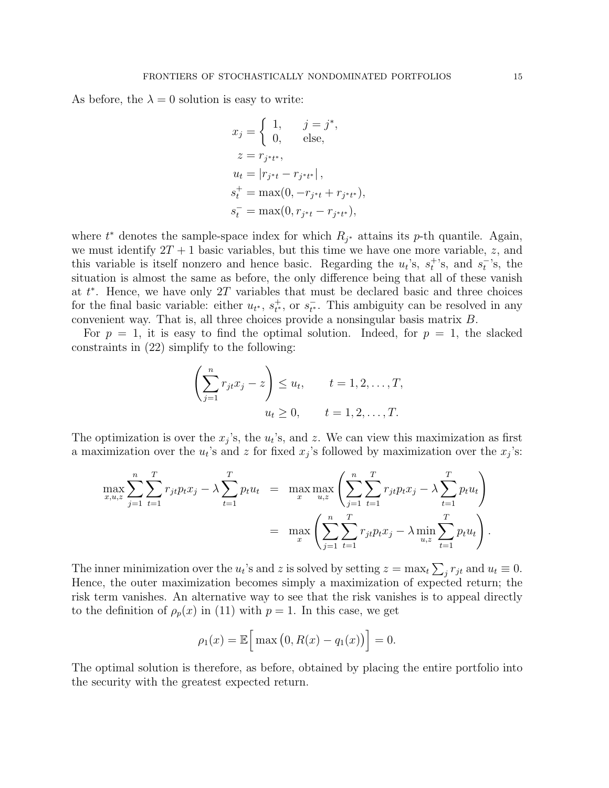As before, the  $\lambda = 0$  solution is easy to write:

$$
x_j = \begin{cases} 1, & j = j^*, \\ 0, & \text{else,} \end{cases}
$$
  
\n
$$
z = r_{j^*t^*},
$$
  
\n
$$
u_t = |r_{j^*t} - r_{j^*t^*}|,
$$
  
\n
$$
s_t^+ = \max(0, -r_{j^*t} + r_{j^*t^*}),
$$
  
\n
$$
s_t^- = \max(0, r_{j^*t} - r_{j^*t^*}),
$$

where  $t^*$  denotes the sample-space index for which  $R_{j^*}$  attains its p-th quantile. Again, we must identify  $2T + 1$  basic variables, but this time we have one more variable, z, and this variable is itself nonzero and hence basic. Regarding the  $u_t$ 's,  $s_t^{\dagger}$ 's, and  $s_t^{\dagger}$ 's, the situation is almost the same as before, the only difference being that all of these vanish at  $t^*$ . Hence, we have only 2T variables that must be declared basic and three choices for the final basic variable: either  $u_{t^*}$ ,  $s_{t^*}^+$ , or  $s_{t^*}^-$ . This ambiguity can be resolved in any convenient way. That is, all three choices provide a nonsingular basis matrix B.

For  $p = 1$ , it is easy to find the optimal solution. Indeed, for  $p = 1$ , the slacked constraints in (22) simplify to the following:

$$
\left(\sum_{j=1}^n r_{jt}x_j - z\right) \le u_t, \qquad t = 1, 2, \dots, T,
$$
  

$$
u_t \ge 0, \qquad t = 1, 2, \dots, T.
$$

The optimization is over the  $x_j$ 's, the  $u_t$ 's, and z. We can view this maximization as first a maximization over the  $u_t$ 's and z for fixed  $x_j$ 's followed by maximization over the  $x_j$ 's:

$$
\max_{x,u,z} \sum_{j=1}^{n} \sum_{t=1}^{T} r_{jt} p_t x_j - \lambda \sum_{t=1}^{T} p_t u_t = \max_{x} \max_{u,z} \left( \sum_{j=1}^{n} \sum_{t=1}^{T} r_{jt} p_t x_j - \lambda \sum_{t=1}^{T} p_t u_t \right)
$$

$$
= \max_{x} \left( \sum_{j=1}^{n} \sum_{t=1}^{T} r_{jt} p_t x_j - \lambda \min_{u,z} \sum_{t=1}^{T} p_t u_t \right).
$$

The inner minimization over the  $u_t$ 's and z is solved by setting  $z = \max_t \sum_j r_{jt}$  and  $u_t \equiv 0$ . Hence, the outer maximization becomes simply a maximization of expected return; the risk term vanishes. An alternative way to see that the risk vanishes is to appeal directly to the definition of  $\rho_p(x)$  in (11) with  $p = 1$ . In this case, we get

$$
\rho_1(x) = \mathbb{E}\Big[\max(0, R(x) - q_1(x))\Big] = 0.
$$

The optimal solution is therefore, as before, obtained by placing the entire portfolio into the security with the greatest expected return.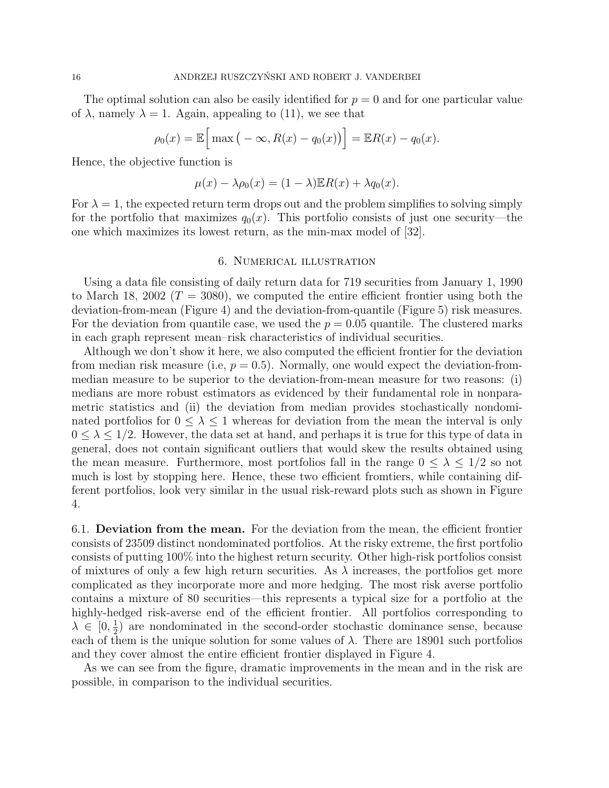The optimal solution can also be easily identified for  $p = 0$  and for one particular value of  $\lambda$ , namely  $\lambda = 1$ . Again, appealing to (11), we see that

$$
\rho_0(x) = \mathbb{E}\Big[\max\big(-\infty, R(x) - q_0(x)\big)\Big] = \mathbb{E}R(x) - q_0(x).
$$

Hence, the objective function is

$$
\mu(x) - \lambda \rho_0(x) = (1 - \lambda) \mathbb{E} R(x) + \lambda q_0(x).
$$

For  $\lambda = 1$ , the expected return term drops out and the problem simplifies to solving simply for the portfolio that maximizes  $q_0(x)$ . This portfolio consists of just one security—the one which maximizes its lowest return, as the min-max model of [32].

## 6. Numerical illustration

Using a data file consisting of daily return data for 719 securities from January 1, 1990 to March 18, 2002 ( $T = 3080$ ), we computed the entire efficient frontier using both the deviation-from-mean (Figure 4) and the deviation-from-quantile (Figure 5) risk measures. For the deviation from quantile case, we used the  $p = 0.05$  quantile. The clustered marks in each graph represent mean–risk characteristics of individual securities.

Although we don't show it here, we also computed the efficient frontier for the deviation from median risk measure (i.e,  $p = 0.5$ ). Normally, one would expect the deviation-frommedian measure to be superior to the deviation-from-mean measure for two reasons: (i) medians are more robust estimators as evidenced by their fundamental role in nonparametric statistics and (ii) the deviation from median provides stochastically nondominated portfolios for  $0 \leq \lambda \leq 1$  whereas for deviation from the mean the interval is only  $0 \leq \lambda \leq 1/2$ . However, the data set at hand, and perhaps it is true for this type of data in general, does not contain significant outliers that would skew the results obtained using the mean measure. Furthermore, most portfolios fall in the range  $0 \leq \lambda \leq 1/2$  so not much is lost by stopping here. Hence, these two efficient fromtiers, while containing different portfolios, look very similar in the usual risk-reward plots such as shown in Figure 4.

6.1. Deviation from the mean. For the deviation from the mean, the efficient frontier consists of 23509 distinct nondominated portfolios. At the risky extreme, the first portfolio consists of putting 100% into the highest return security. Other high-risk portfolios consist of mixtures of only a few high return securities. As  $\lambda$  increases, the portfolios get more complicated as they incorporate more and more hedging. The most risk averse portfolio contains a mixture of 80 securities—this represents a typical size for a portfolio at the highly-hedged risk-averse end of the efficient frontier. All portfolios corresponding to  $\lambda \in [0, \frac{1}{2}]$  $\frac{1}{2}$  are nondominated in the second-order stochastic dominance sense, because each of them is the unique solution for some values of  $\lambda$ . There are 18901 such portfolios and they cover almost the entire efficient frontier displayed in Figure 4.

As we can see from the figure, dramatic improvements in the mean and in the risk are possible, in comparison to the individual securities.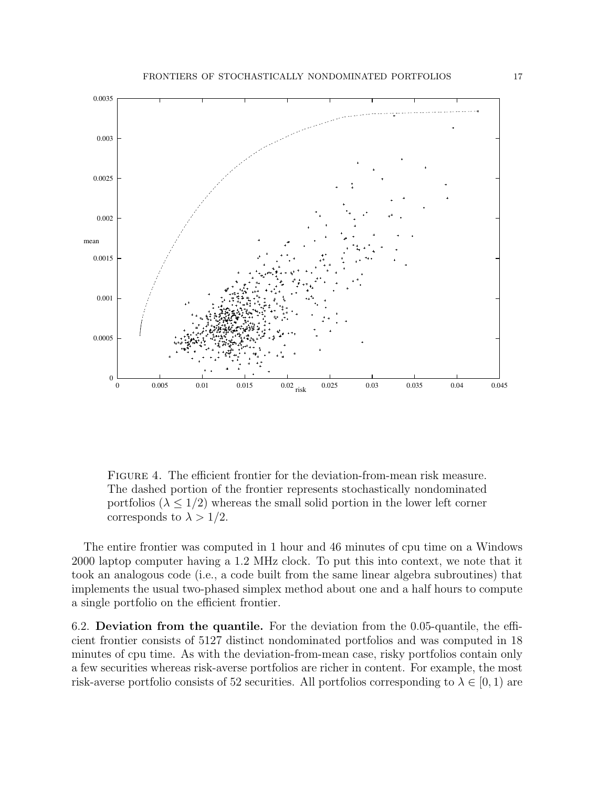

Figure 4. The efficient frontier for the deviation-from-mean risk measure. The dashed portion of the frontier represents stochastically nondominated portfolios ( $\lambda \leq 1/2$ ) whereas the small solid portion in the lower left corner corresponds to  $\lambda > 1/2$ .

The entire frontier was computed in 1 hour and 46 minutes of cpu time on a Windows 2000 laptop computer having a 1.2 MHz clock. To put this into context, we note that it took an analogous code (i.e., a code built from the same linear algebra subroutines) that implements the usual two-phased simplex method about one and a half hours to compute a single portfolio on the efficient frontier.

6.2. Deviation from the quantile. For the deviation from the 0.05-quantile, the efficient frontier consists of 5127 distinct nondominated portfolios and was computed in 18 minutes of cpu time. As with the deviation-from-mean case, risky portfolios contain only a few securities whereas risk-averse portfolios are richer in content. For example, the most risk-averse portfolio consists of 52 securities. All portfolios corresponding to  $\lambda \in [0,1)$  are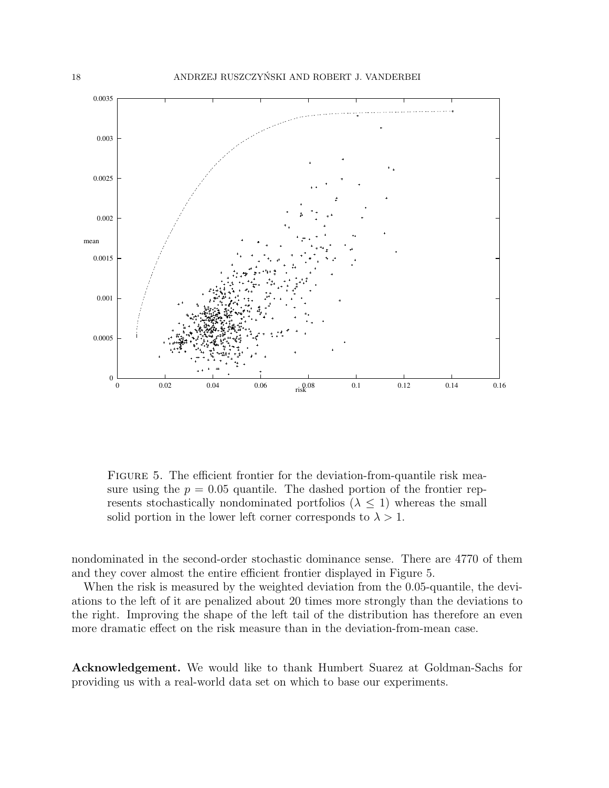

FIGURE 5. The efficient frontier for the deviation-from-quantile risk measure using the  $p = 0.05$  quantile. The dashed portion of the frontier represents stochastically nondominated portfolios  $(\lambda \leq 1)$  whereas the small solid portion in the lower left corner corresponds to  $\lambda > 1$ .

nondominated in the second-order stochastic dominance sense. There are 4770 of them and they cover almost the entire efficient frontier displayed in Figure 5.

When the risk is measured by the weighted deviation from the 0.05-quantile, the deviations to the left of it are penalized about 20 times more strongly than the deviations to the right. Improving the shape of the left tail of the distribution has therefore an even more dramatic effect on the risk measure than in the deviation-from-mean case.

Acknowledgement. We would like to thank Humbert Suarez at Goldman-Sachs for providing us with a real-world data set on which to base our experiments.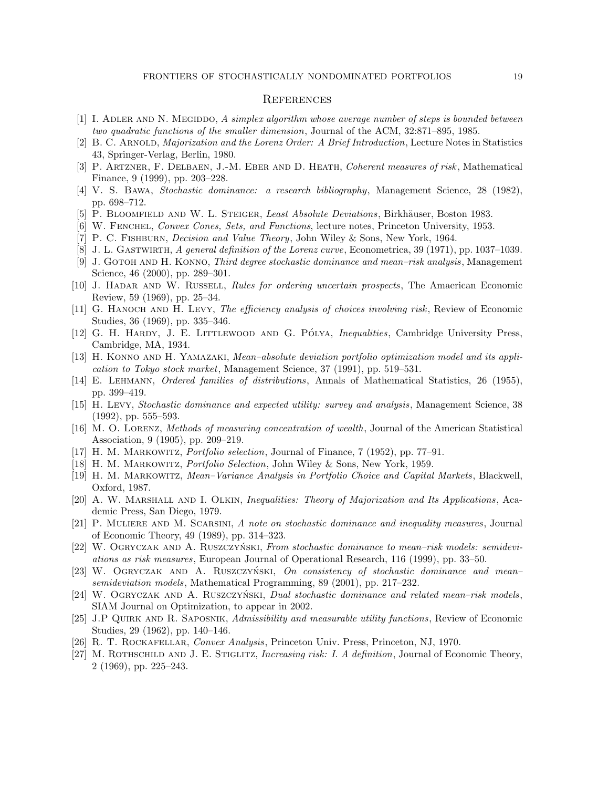#### **REFERENCES**

- [1] I. ADLER AND N. MEGIDDO, A simplex algorithm whose average number of steps is bounded between two quadratic functions of the smaller dimension, Journal of the ACM, 32:871–895, 1985.
- [2] B. C. ARNOLD, *Majorization and the Lorenz Order: A Brief Introduction*, Lecture Notes in Statistics 43, Springer-Verlag, Berlin, 1980.
- [3] P. ARTZNER, F. DELBAEN, J.-M. EBER AND D. HEATH, Coherent measures of risk, Mathematical Finance, 9 (1999), pp. 203–228.
- [4] V. S. Bawa, Stochastic dominance: a research bibliography, Management Science, 28 (1982), pp. 698–712.
- [5] P. BLOOMFIELD AND W. L. STEIGER, Least Absolute Deviations, Birkhäuser, Boston 1983.
- [6] W. FENCHEL, Convex Cones, Sets, and Functions, lecture notes, Princeton University, 1953.
- [7] P. C. Fishburn, Decision and Value Theory, John Wiley & Sons, New York, 1964.
- [8] J. L. Gastwirth, A general definition of the Lorenz curve, Econometrica, 39 (1971), pp. 1037–1039.
- [9] J. GOTOH AND H. KONNO, Third degree stochastic dominance and mean–risk analysis, Management Science, 46 (2000), pp. 289–301.
- [10] J. Hadar and W. Russell, Rules for ordering uncertain prospects, The Amaerican Economic Review, 59 (1969), pp. 25–34.
- [11] G. HANOCH AND H. LEVY, The efficiency analysis of choices involving risk, Review of Economic Studies, 36 (1969), pp. 335–346.
- [12] G. H. HARDY, J. E. LITTLEWOOD AND G. PÓLYA, *Inequalities*, Cambridge University Press, Cambridge, MA, 1934.
- [13] H. KONNO AND H. YAMAZAKI, *Mean–absolute deviation portfolio optimization model and its appli*cation to Tokyo stock market, Management Science, 37 (1991), pp. 519–531.
- [14] E. Lehmann, Ordered families of distributions, Annals of Mathematical Statistics, 26 (1955), pp. 399–419.
- [15] H. Levy, Stochastic dominance and expected utility: survey and analysis, Management Science, 38 (1992), pp. 555–593.
- [16] M. O. Lorenz, Methods of measuring concentration of wealth, Journal of the American Statistical Association, 9 (1905), pp. 209–219.
- [17] H. M. Markowitz, Portfolio selection, Journal of Finance, 7 (1952), pp. 77–91.
- [18] H. M. Markowitz, Portfolio Selection, John Wiley & Sons, New York, 1959.
- [19] H. M. Markowitz, Mean–Variance Analysis in Portfolio Choice and Capital Markets, Blackwell, Oxford, 1987.
- [20] A. W. MARSHALL AND I. OLKIN, Inequalities: Theory of Majorization and Its Applications, Academic Press, San Diego, 1979.
- [21] P. Muliere and M. Scarsini, A note on stochastic dominance and inequality measures, Journal of Economic Theory, 49 (1989), pp. 314–323.
- [22] W. OGRYCZAK AND A. RUSZCZYŃSKI, From stochastic dominance to mean-risk models: semideviations as risk measures, European Journal of Operational Research, 116 (1999), pp. 33–50.
- [23] W. OGRYCZAK AND A. RUSZCZYŃSKI, On consistency of stochastic dominance and mean– semideviation models, Mathematical Programming, 89 (2001), pp. 217–232.
- $[24]$  W. OGRYCZAK AND A. RUSZCZYŃSKI, Dual stochastic dominance and related mean–risk models, SIAM Journal on Optimization, to appear in 2002.
- [25] J.P QUIRK AND R. SAPOSNIK, Admissibility and measurable utility functions, Review of Economic Studies, 29 (1962), pp. 140–146.
- [26] R. T. Rockafellar, Convex Analysis, Princeton Univ. Press, Princeton, NJ, 1970.
- [27] M. ROTHSCHILD AND J. E. STIGLITZ, *Increasing risk: I. A definition*, Journal of Economic Theory, 2 (1969), pp. 225–243.